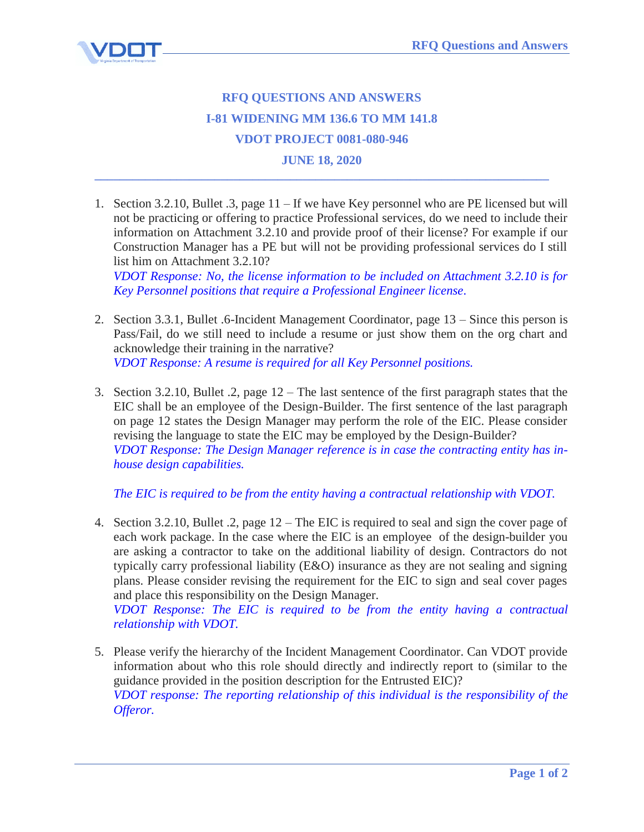

## **RFQ QUESTIONS AND ANSWERS I-81 WIDENING MM 136.6 TO MM 141.8 VDOT PROJECT 0081-080-946**

## **JUNE 18, 2020 \_\_\_\_\_\_\_\_\_\_\_\_\_\_\_\_\_\_\_\_\_\_\_\_\_\_\_\_\_\_\_\_\_\_\_\_\_\_\_\_\_\_\_\_\_\_\_\_\_\_\_\_\_\_\_\_\_\_\_\_\_\_\_\_\_\_\_\_\_\_\_\_**

1. Section 3.2.10, Bullet .3, page 11 – If we have Key personnel who are PE licensed but will not be practicing or offering to practice Professional services, do we need to include their information on Attachment 3.2.10 and provide proof of their license? For example if our Construction Manager has a PE but will not be providing professional services do I still list him on Attachment 3.2.10?

*VDOT Response: No, the license information to be included on Attachment 3.2.10 is for Key Personnel positions that require a Professional Engineer license.* 

- 2. Section 3.3.1, Bullet .6-Incident Management Coordinator, page 13 Since this person is Pass/Fail, do we still need to include a resume or just show them on the org chart and acknowledge their training in the narrative? *VDOT Response: A resume is required for all Key Personnel positions.*
- 3. Section 3.2.10, Bullet .2, page 12 The last sentence of the first paragraph states that the EIC shall be an employee of the Design-Builder. The first sentence of the last paragraph on page 12 states the Design Manager may perform the role of the EIC. Please consider revising the language to state the EIC may be employed by the Design-Builder? *VDOT Response: The Design Manager reference is in case the contracting entity has inhouse design capabilities.*

*The EIC is required to be from the entity having a contractual relationship with VDOT.*

4. Section 3.2.10, Bullet .2, page 12 – The EIC is required to seal and sign the cover page of each work package. In the case where the EIC is an employee of the design-builder you are asking a contractor to take on the additional liability of design. Contractors do not typically carry professional liability (E&O) insurance as they are not sealing and signing plans. Please consider revising the requirement for the EIC to sign and seal cover pages and place this responsibility on the Design Manager.

*VDOT Response: The EIC is required to be from the entity having a contractual relationship with VDOT.*

5. Please verify the hierarchy of the Incident Management Coordinator. Can VDOT provide information about who this role should directly and indirectly report to (similar to the guidance provided in the position description for the Entrusted EIC)? *VDOT response: The reporting relationship of this individual is the responsibility of the Offeror.*